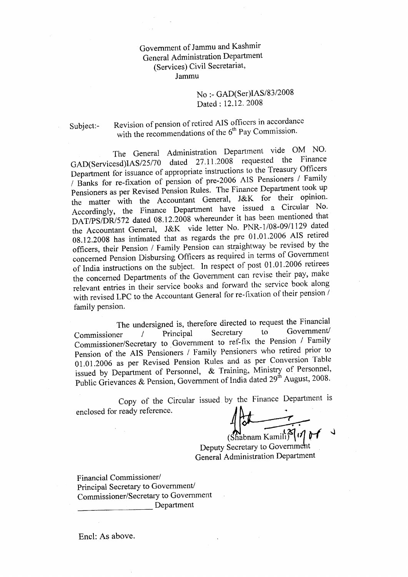Government of Jammu and Kashmir General Administration Department (Services) Civil Secretariar, Jammu

## No :- GAD(Ser)IAS/83/2008 Dated : 12.12. 2008

Subject:- Revision of pension of retired AIS officers in accordance with the recommendations of the  $6<sup>th</sup>$  Pay Commission.

The General Administration Department vide OM NO. GAD(Servicesd)IAS/25/70 dated 27.11.2008 requested the Finance Department for issuance of appropriate instructions to the Treasury Officers / Banks for re-fixation of pension of pre-2006 AIS Pensioners / Family Pensioners as per Revised Pension Rules. The Finance Department took up the matter with the Accountant General, J&K for their opinion. Accordingly, the Finance Department have issued a Circular No. DAT/PS/DR/572 dated 08.12.2008 whereunder it has been mentioned that the Accountant General, J&K vide letter No. PNR-1/08-09/1129 dated 08.12.2008 has intimated that as regards the pre 01.01.2006 AIS retired officers, their Pension / Family Pension can straightway be revised by the concerned Pension Disbursing Officers as required in tcrms of Govemment of India instructions on the subject. In respect of post 01.01.2006 retirees the concerned Departments of the Government can revise their pay, make relevant entries in their service books and forward the service book along with revised LPC to the Accountant General for re-fixation of their pension / family pension.

The undersigned is, therefore directed to request the Financial<br>er / Principal Secretary to Government/  $\n Commissioner$  / Principal Secretary to Government/ Commissioner/Secretary to Government to ref-fix the Pension / Family Pension of the AIS Pensioners / Family Pensioners who retired prior to 01.01.2006 as per Revised Pension Rules and as per conversion'Iable issued by Department of Personnel, & Training, Ministry of Personnel, Public Grievances & Pension, Government of India dated 29<sup>th</sup> August, 2008.

Copy of the Circular issued by the Finance Department is enclosed for ready reference.

 $\lim_{(Shabnam Kamih)$   $\mathcal{S}$   $\eta$ 

Deputy Secretary to Government General Administration Department

Financial Commissioner/ Principal Secretary to Government/ Commissioner/Secretary to Government Department

Encl: As above.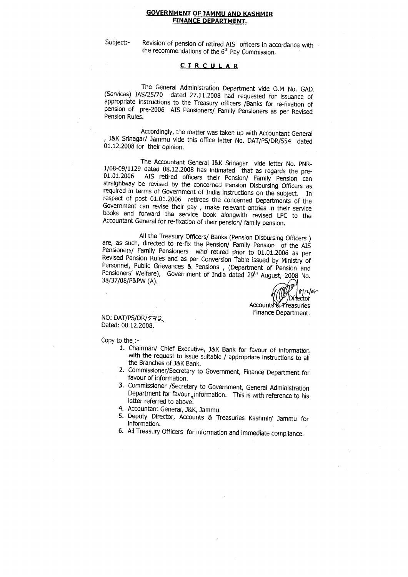#### **GOVERNMENT OF JAMMU AND KASHMIR** FINANCE DEPABTMENT.

subject:- Revision of pension of retired AIS officers in accordance with the recommendations of the  $6<sup>th</sup>$  Pay Commission.

### QIRCULAR

The General Administration Department vide O.M No. GAD<br>(Services) IAS/25/70 dated 27.11.2008 had requested for issuance of<br>appropriate instructions to the Treasury officers /Banks for re-fixation of<br>pension of pre-2006 AIS

Accordingly, the matter was taken up with Accountant General , J&K Srinagar/ Jammu vide this office letter No. DAT/PS/DR/554 dated 01.12,2008 for their opinion.

The Accountant General J&K Srinagar vide letter No. PNR-<br>1/08-09/1129 dated 08.12.2008 has intimated that as regards the pre-01.01.2006 AIS retired officers their Pension/ Family Pension can straightway be revised by the concerned Pension Disbursing Officers as required in terms of Government of India instructions on the subject. In respect of , make relevant entries in their service books and forward the service book arongwith revrsed Lpc to the Accountant General for re-fixation of their pension/ family pension.

All the Treasury Officers/ Banks (Pension Disbursing Officers ) are, as such, directed to re-fix the Pension/ Family Pension of the AIS Pensioners/ Family Pensioners who retired prior to 01.01.2006 as per Revised Pension Rules and as per Conversion Table issued by Ministry of , (Department of Fension and Pensioners' Welfare), Government of India dated  $29<sup>th</sup>$  August, 2008 No. 38/37/08/P&PW (A).

 $81$ rlor Dirlector Accounts & Preasuries

Finance Department.

NO: DAT/PS/DR/572 Dated: 08.12.2008.

Copy to the :-

- 1. chairman/ chief Executive, J&K Bank for favour of information with the request to issue suitable / appropriate instructions to all the Branches of J&K Bank.
- 2. Commissioner/Secretary to Government, Finance Department for favour of information.
- 3. Commissioner / Secretary to Government, General Administration Department for favour, information. This is with reference to his letter referred to above.
- 4. Accountant General, J&K, Jammu.
- 5. Deputy Director, Accounts & Treasuries Kashmir/ Jammu for information.
- 6. All Treasury officers for information and immediate compliance.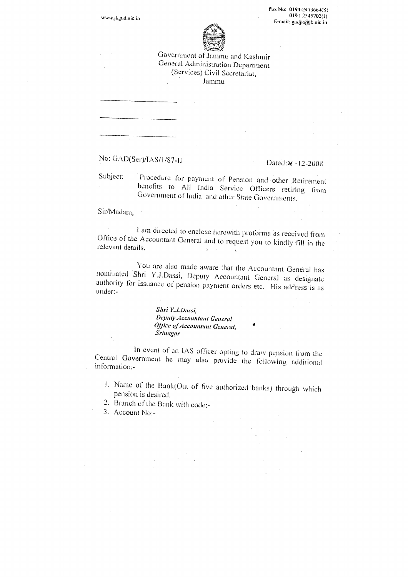www.jkgad.nic.in

Fax No: 0194-2473664(S)  $0191 - 2545702(1)$ E-mail: gadjk@jk.nic.in



Government of Jammu and Kashmir General Administration Department (Services) Civil Secretariat, Jammu

No: GAD(Ser)/IAS/1/87-11

Dated:26-12-2008

Subject: Procedure for payment of Pension and other Retirement benefits to All India Service Officers retiring from Government of India and other State Governments.

Sir/Madam.

I am directed to enclose herewith proforma as received from Office of the Accountant General and to request you to kindly fill in the relevant details.  $\sim$  $\pm$ 

You are also made aware that the Accountant General has nominated Shri Y.J.Dassi, Deputy Accountant General as designate authority for issuance of pension payment orders etc. His address is as under:-

> Shri Y.J.Dassi, Deputy Accountant General Office of Accountant General, Srinagar

In event of an IAS officer opting to draw pension from the Central Government he may also provide the following additional information:-

- 1. Name of the Bank(Out of five authorized banks) through which pension is desired.
- 2. Branch of the Bank with code:-
- 3. Account No:-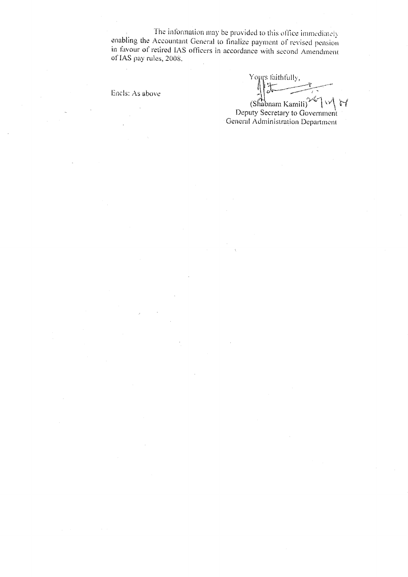The information may be provided to this office immediately enabling the Accountant General to finalize payment of revised pension in favour of retired IAS officers in accordance with second Amendment of IAS pay rules, 2008.

Encls: As above

Yours faithfully,  $\frac{1}{2}$ (Shabnam Kamili) </a><br>Deputy Secretary to Government

General Administration Department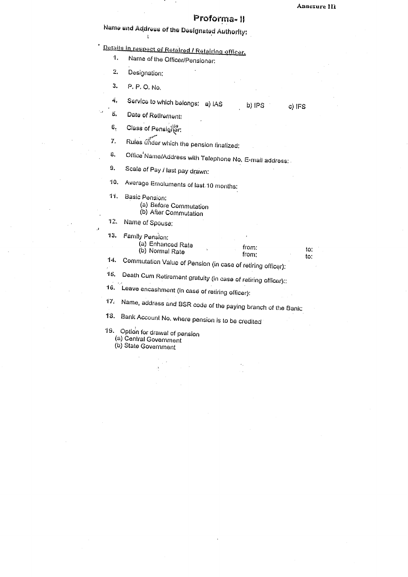to: to:

# Proforma- II

Name and Address of the Designated Authority;

Details in respect of Retaired / Retairing officer.

- $\ddot{\mathbf{1}}$ Name of the Officer/Pensioner:
- $\overline{2}$ Designation:

 $\mathbf{r}$ 

3. P. P. O. No.

 $\ddot{\phantom{a}}$ 

Service to which belongs: a) IAS 4. b) IPS c) IFS

ä. Date of Retirement:

Class of Pensigrer: 6.

Rules under which the pension finalized:  $\mathbf{Z}$ 

Office Name/Address with Telephone No, E-mail address: Û.

Scale of Pay / last pay drawn: 9.

Average Emoluments of last 10 months: 10.

Basic Pension: 11.

- (a) Before Commutation<br>(b) After Commutation
- 
- 12. Name of Spouse:

| 13. | Family Pension:<br>(a) Enhanced Rate<br>(b) Normal Rate       | from:<br>from: |  |  |
|-----|---------------------------------------------------------------|----------------|--|--|
| 14. | Commutation Value of Pension (in case of retiring officer):   |                |  |  |
| 15. | Death Cum Retirement gratuity (in case of retiring officer):: |                |  |  |
| 16. | Leave encashment (in case of retiring officer):               |                |  |  |
| 17. | Name, address and BSR code of the paying branch of the Bank.  |                |  |  |
| í O | m i                                                           |                |  |  |

18. Bank Account No. where pension is to be credited

- 19. Option for drawal of pension<br>(a) Central Government
	-

(b) State Government